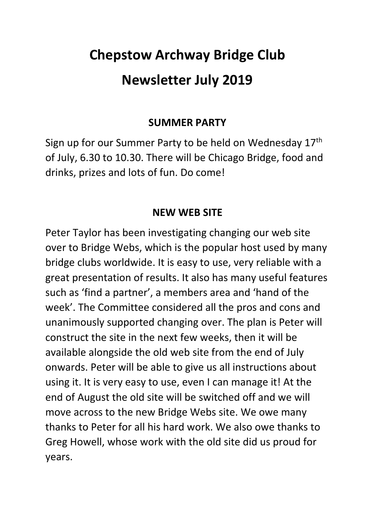# **Chepstow Archway Bridge Club Newsletter July 2019**

#### **SUMMER PARTY**

Sign up for our Summer Party to be held on Wednesday 17th of July, 6.30 to 10.30. There will be Chicago Bridge, food and drinks, prizes and lots of fun. Do come!

#### **NEW WEB SITE**

Peter Taylor has been investigating changing our web site over to Bridge Webs, which is the popular host used by many bridge clubs worldwide. It is easy to use, very reliable with a great presentation of results. It also has many useful features such as 'find a partner', a members area and 'hand of the week'. The Committee considered all the pros and cons and unanimously supported changing over. The plan is Peter will construct the site in the next few weeks, then it will be available alongside the old web site from the end of July onwards. Peter will be able to give us all instructions about using it. It is very easy to use, even I can manage it! At the end of August the old site will be switched off and we will move across to the new Bridge Webs site. We owe many thanks to Peter for all his hard work. We also owe thanks to Greg Howell, whose work with the old site did us proud for years.